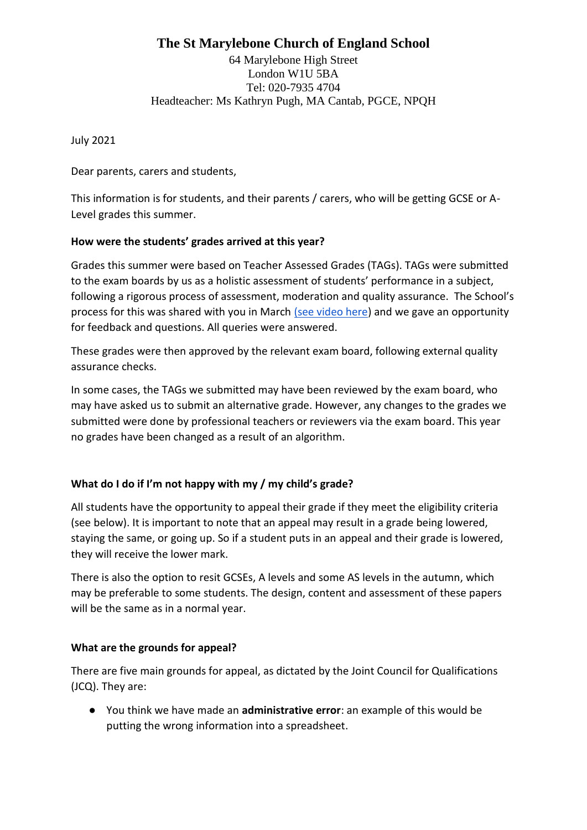# **The St Marylebone Church of England School**

64 Marylebone High Street London W1U 5BA Tel: 020-7935 4704 Headteacher: Ms Kathryn Pugh, MA Cantab, PGCE, NPQH

July 2021

Dear parents, carers and students,

This information is for students, and their parents / carers, who will be getting GCSE or A-Level grades this summer.

# **How were the students' grades arrived at this year?**

Grades this summer were based on Teacher Assessed Grades (TAGs). TAGs were submitted to the exam boards by us as a holistic assessment of students' performance in a subject, following a rigorous process of assessment, moderation and quality assurance. The School's process for this was shared with you in March [\(see video here\)](https://youtu.be/nEgjdkjGCP0) and we gave an opportunity for feedback and questions. All queries were answered.

These grades were then approved by the relevant exam board, following external quality assurance checks.

In some cases, the TAGs we submitted may have been reviewed by the exam board, who may have asked us to submit an alternative grade. However, any changes to the grades we submitted were done by professional teachers or reviewers via the exam board. This year no grades have been changed as a result of an algorithm.

# **What do I do if I'm not happy with my / my child's grade?**

All students have the opportunity to appeal their grade if they meet the eligibility criteria (see below). It is important to note that an appeal may result in a grade being lowered, staying the same, or going up. So if a student puts in an appeal and their grade is lowered, they will receive the lower mark.

There is also the option to resit GCSEs, A levels and some AS levels in the autumn, which may be preferable to some students. The design, content and assessment of these papers will be the same as in a normal year.

#### **What are the grounds for appeal?**

There are five main grounds for appeal, as dictated by the Joint Council for Qualifications (JCQ). They are:

● You think we have made an **administrative error**: an example of this would be putting the wrong information into a spreadsheet.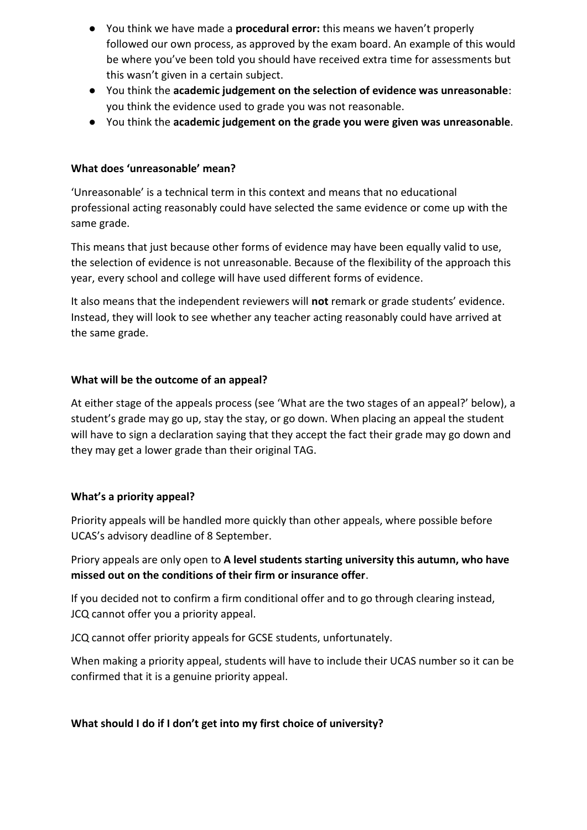- You think we have made a **procedural error:** this means we haven't properly followed our own process, as approved by the exam board. An example of this would be where you've been told you should have received extra time for assessments but this wasn't given in a certain subject.
- You think the **academic judgement on the selection of evidence was unreasonable**: you think the evidence used to grade you was not reasonable.
- You think the **academic judgement on the grade you were given was unreasonable**.

### **What does 'unreasonable' mean?**

'Unreasonable' is a technical term in this context and means that no educational professional acting reasonably could have selected the same evidence or come up with the same grade.

This means that just because other forms of evidence may have been equally valid to use, the selection of evidence is not unreasonable. Because of the flexibility of the approach this year, every school and college will have used different forms of evidence.

It also means that the independent reviewers will **not** remark or grade students' evidence. Instead, they will look to see whether any teacher acting reasonably could have arrived at the same grade.

### **What will be the outcome of an appeal?**

At either stage of the appeals process (see 'What are the two stages of an appeal?' below), a student's grade may go up, stay the stay, or go down. When placing an appeal the student will have to sign a declaration saying that they accept the fact their grade may go down and they may get a lower grade than their original TAG.

# **What's a priority appeal?**

Priority appeals will be handled more quickly than other appeals, where possible before UCAS's advisory deadline of 8 September.

Priory appeals are only open to **A level students starting university this autumn, who have missed out on the conditions of their firm or insurance offer**.

If you decided not to confirm a firm conditional offer and to go through clearing instead, JCQ cannot offer you a priority appeal.

JCQ cannot offer priority appeals for GCSE students, unfortunately.

When making a priority appeal, students will have to include their UCAS number so it can be confirmed that it is a genuine priority appeal.

# **What should I do if I don't get into my first choice of university?**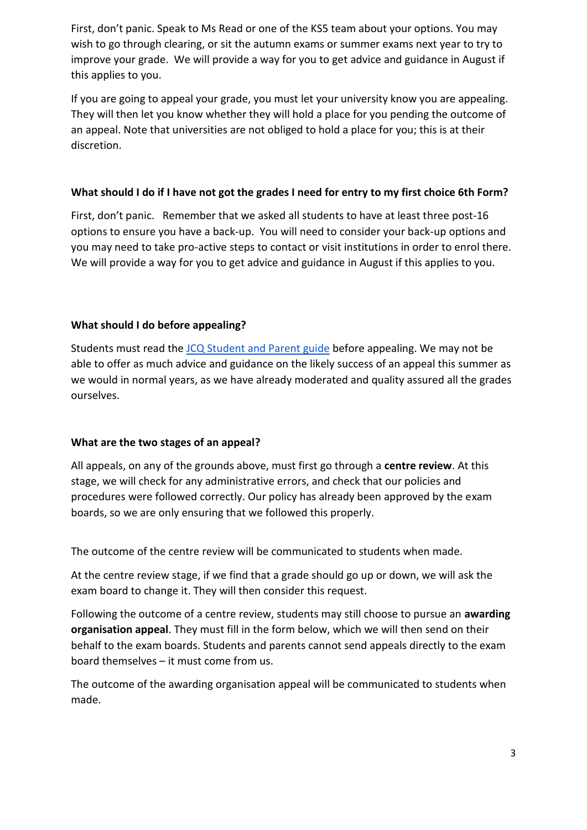First, don't panic. Speak to Ms Read or one of the KS5 team about your options. You may wish to go through clearing, or sit the autumn exams or summer exams next year to try to improve your grade. We will provide a way for you to get advice and guidance in August if this applies to you.

If you are going to appeal your grade, you must let your university know you are appealing. They will then let you know whether they will hold a place for you pending the outcome of an appeal. Note that universities are not obliged to hold a place for you; this is at their discretion.

# **What should I do if I have not got the grades I need for entry to my first choice 6th Form?**

First, don't panic. Remember that we asked all students to have at least three post-16 options to ensure you have a back-up. You will need to consider your back-up options and you may need to take pro-active steps to contact or visit institutions in order to enrol there. We will provide a way for you to get advice and guidance in August if this applies to you.

# **What should I do before appealing?**

Students must read the [JCQ Student and Parent guide](https://www.jcq.org.uk/wp-content/uploads/2021/03/JCQ-Guidance-for-Students-and-Parents-on-Summer-2021.pdf) before appealing. We may not be able to offer as much advice and guidance on the likely success of an appeal this summer as we would in normal years, as we have already moderated and quality assured all the grades ourselves.

# **What are the two stages of an appeal?**

All appeals, on any of the grounds above, must first go through a **centre review**. At this stage, we will check for any administrative errors, and check that our policies and procedures were followed correctly. Our policy has already been approved by the exam boards, so we are only ensuring that we followed this properly.

The outcome of the centre review will be communicated to students when made.

At the centre review stage, if we find that a grade should go up or down, we will ask the exam board to change it. They will then consider this request.

Following the outcome of a centre review, students may still choose to pursue an **awarding organisation appeal**. They must fill in the form below, which we will then send on their behalf to the exam boards. Students and parents cannot send appeals directly to the exam board themselves – it must come from us.

The outcome of the awarding organisation appeal will be communicated to students when made.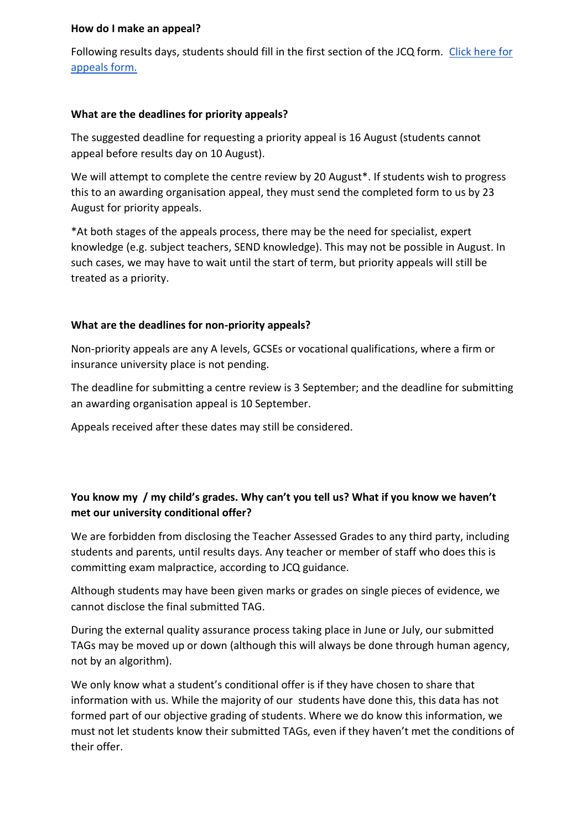### **How do I make an appeal?**

Following results days, students should fill in the first section of the JCQ form. [Click here for](https://docs.google.com/forms/d/1nQzZKjC_4tb2ipyP9vWzKqas83--NW63wVghqlrnz9M/edit?usp=sharing)  [appeals form.](https://docs.google.com/forms/d/1nQzZKjC_4tb2ipyP9vWzKqas83--NW63wVghqlrnz9M/edit?usp=sharing)

### **What are the deadlines for priority appeals?**

The suggested deadline for requesting a priority appeal is 16 August (students cannot appeal before results day on 10 August).

We will attempt to complete the centre review by 20 August\*. If students wish to progress this to an awarding organisation appeal, they must send the completed form to us by 23 August for priority appeals.

\*At both stages of the appeals process, there may be the need for specialist, expert knowledge (e.g. subject teachers, SEND knowledge). This may not be possible in August. In such cases, we may have to wait until the start of term, but priority appeals will still be treated as a priority.

### **What are the deadlines for non-priority appeals?**

Non-priority appeals are any A levels, GCSEs or vocational qualifications, where a firm or insurance university place is not pending.

The deadline for submitting a centre review is 3 September; and the deadline for submitting an awarding organisation appeal is 10 September.

Appeals received after these dates may still be considered.

# **You know my / my child's grades. Why can't you tell us? What if you know we haven't met our university conditional offer?**

We are forbidden from disclosing the Teacher Assessed Grades to any third party, including students and parents, until results days. Any teacher or member of staff who does this is committing exam malpractice, according to JCQ guidance.

Although students may have been given marks or grades on single pieces of evidence, we cannot disclose the final submitted TAG.

During the external quality assurance process taking place in June or July, our submitted TAGs may be moved up or down (although this will always be done through human agency, not by an algorithm).

We only know what a student's conditional offer is if they have chosen to share that information with us. While the majority of our students have done this, this data has not formed part of our objective grading of students. Where we do know this information, we must not let students know their submitted TAGs, even if they haven't met the conditions of their offer.